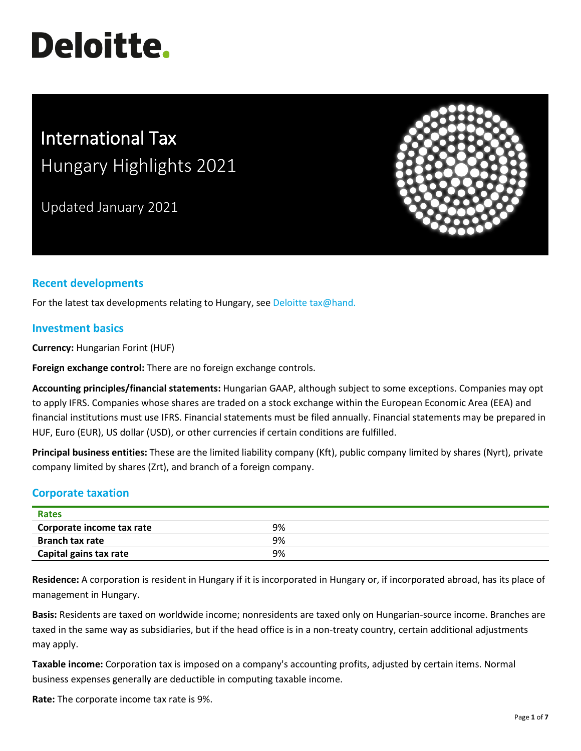# **Deloitte.**

# International Tax Hungary Highlights 2021

Updated January 2021



# **Recent developments**

For the latest tax developments relating to Hungary, see [Deloitte tax@hand.](https://www.taxathand.com/world-news/Hungary)

#### **Investment basics**

**Currency:** Hungarian Forint (HUF)

**Foreign exchange control:** There are no foreign exchange controls.

**Accounting principles/financial statements:** Hungarian GAAP, although subject to some exceptions. Companies may opt to apply IFRS. Companies whose shares are traded on a stock exchange within the European Economic Area (EEA) and financial institutions must use IFRS. Financial statements must be filed annually. Financial statements may be prepared in HUF, Euro (EUR), US dollar (USD), or other currencies if certain conditions are fulfilled.

**Principal business entities:** These are the limited liability company (Kft), public company limited by shares (Nyrt), private company limited by shares (Zrt), and branch of a foreign company.

# **Corporate taxation**

| <b>Rates</b>              |    |  |
|---------------------------|----|--|
| Corporate income tax rate | 9% |  |
| <b>Branch tax rate</b>    | 9% |  |
| Capital gains tax rate    | 9% |  |

**Residence:** A corporation is resident in Hungary if it is incorporated in Hungary or, if incorporated abroad, has its place of management in Hungary.

**Basis:** Residents are taxed on worldwide income; nonresidents are taxed only on Hungarian-source income. Branches are taxed in the same way as subsidiaries, but if the head office is in a non-treaty country, certain additional adjustments may apply.

**Taxable income:** Corporation tax is imposed on a company's accounting profits, adjusted by certain items. Normal business expenses generally are deductible in computing taxable income.

**Rate:** The corporate income tax rate is 9%.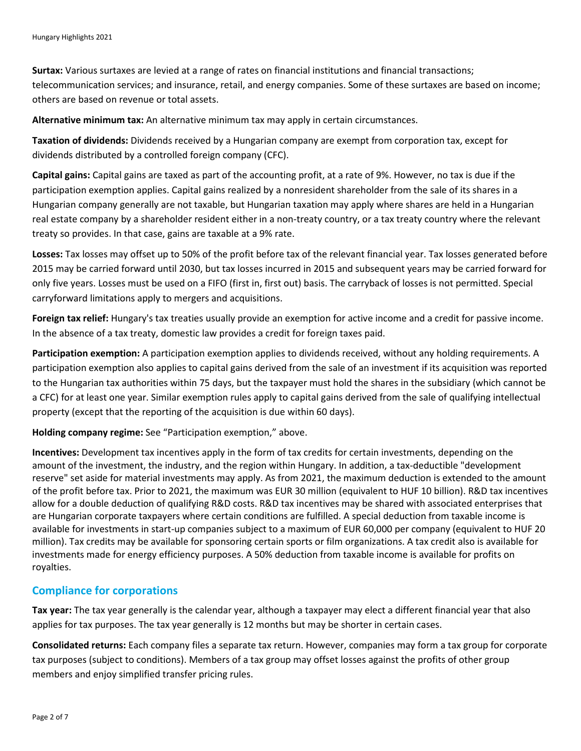**Surtax:** Various surtaxes are levied at a range of rates on financial institutions and financial transactions; telecommunication services; and insurance, retail, and energy companies. Some of these surtaxes are based on income; others are based on revenue or total assets.

**Alternative minimum tax:** An alternative minimum tax may apply in certain circumstances.

**Taxation of dividends:** Dividends received by a Hungarian company are exempt from corporation tax, except for dividends distributed by a controlled foreign company (CFC).

**Capital gains:** Capital gains are taxed as part of the accounting profit, at a rate of 9%. However, no tax is due if the participation exemption applies. Capital gains realized by a nonresident shareholder from the sale of its shares in a Hungarian company generally are not taxable, but Hungarian taxation may apply where shares are held in a Hungarian real estate company by a shareholder resident either in a non-treaty country, or a tax treaty country where the relevant treaty so provides. In that case, gains are taxable at a 9% rate.

**Losses:** Tax losses may offset up to 50% of the profit before tax of the relevant financial year. Tax losses generated before 2015 may be carried forward until 2030, but tax losses incurred in 2015 and subsequent years may be carried forward for only five years. Losses must be used on a FIFO (first in, first out) basis. The carryback of losses is not permitted. Special carryforward limitations apply to mergers and acquisitions.

**Foreign tax relief:** Hungary's tax treaties usually provide an exemption for active income and a credit for passive income. In the absence of a tax treaty, domestic law provides a credit for foreign taxes paid.

**Participation exemption:** A participation exemption applies to dividends received, without any holding requirements. A participation exemption also applies to capital gains derived from the sale of an investment if its acquisition was reported to the Hungarian tax authorities within 75 days, but the taxpayer must hold the shares in the subsidiary (which cannot be a CFC) for at least one year. Similar exemption rules apply to capital gains derived from the sale of qualifying intellectual property (except that the reporting of the acquisition is due within 60 days).

**Holding company regime:** See "Participation exemption," above.

**Incentives:** Development tax incentives apply in the form of tax credits for certain investments, depending on the amount of the investment, the industry, and the region within Hungary. In addition, a tax-deductible "development reserve" set aside for material investments may apply. As from 2021, the maximum deduction is extended to the amount of the profit before tax. Prior to 2021, the maximum was EUR 30 million (equivalent to HUF 10 billion). R&D tax incentives allow for a double deduction of qualifying R&D costs. R&D tax incentives may be shared with associated enterprises that are Hungarian corporate taxpayers where certain conditions are fulfilled. A special deduction from taxable income is available for investments in start-up companies subject to a maximum of EUR 60,000 per company (equivalent to HUF 20 million). Tax credits may be available for sponsoring certain sports or film organizations. A tax credit also is available for investments made for energy efficiency purposes. A 50% deduction from taxable income is available for profits on royalties.

#### **Compliance for corporations**

**Tax year:** The tax year generally is the calendar year, although a taxpayer may elect a different financial year that also applies for tax purposes. The tax year generally is 12 months but may be shorter in certain cases.

**Consolidated returns:** Each company files a separate tax return. However, companies may form a tax group for corporate tax purposes (subject to conditions). Members of a tax group may offset losses against the profits of other group members and enjoy simplified transfer pricing rules.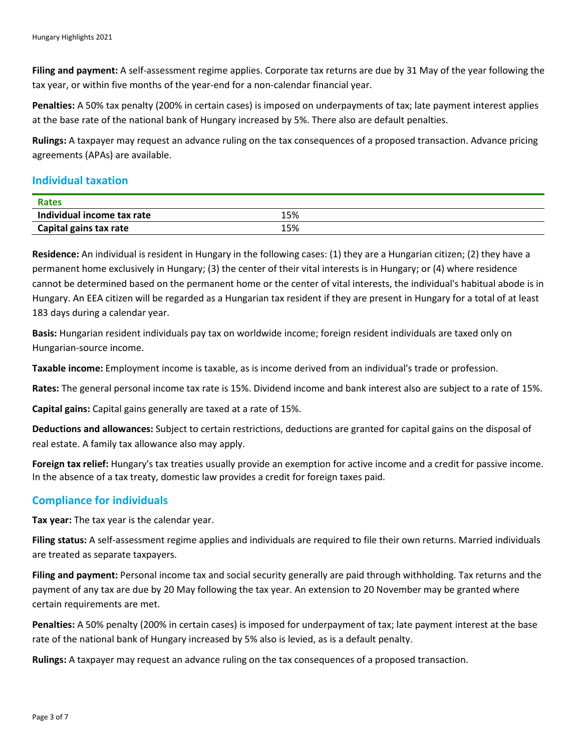**Filing and payment:** A self-assessment regime applies. Corporate tax returns are due by 31 May of the year following the tax year, or within five months of the year-end for a non-calendar financial year.

**Penalties:** A 50% tax penalty (200% in certain cases) is imposed on underpayments of tax; late payment interest applies at the base rate of the national bank of Hungary increased by 5%. There also are default penalties.

**Rulings:** A taxpayer may request an advance ruling on the tax consequences of a proposed transaction. Advance pricing agreements (APAs) are available.

#### **Individual taxation**

| Rates                      |     |  |
|----------------------------|-----|--|
| Individual income tax rate | 5%، |  |
| Capital gains tax rate     | 15% |  |

**Residence:** An individual is resident in Hungary in the following cases: (1) they are a Hungarian citizen; (2) they have a permanent home exclusively in Hungary; (3) the center of their vital interests is in Hungary; or (4) where residence cannot be determined based on the permanent home or the center of vital interests, the individual's habitual abode is in Hungary. An EEA citizen will be regarded as a Hungarian tax resident if they are present in Hungary for a total of at least 183 days during a calendar year.

**Basis:** Hungarian resident individuals pay tax on worldwide income; foreign resident individuals are taxed only on Hungarian-source income.

**Taxable income:** Employment income is taxable, as is income derived from an individual's trade or profession.

**Rates:** The general personal income tax rate is 15%. Dividend income and bank interest also are subject to a rate of 15%.

**Capital gains:** Capital gains generally are taxed at a rate of 15%.

**Deductions and allowances:** Subject to certain restrictions, deductions are granted for capital gains on the disposal of real estate. A family tax allowance also may apply.

**Foreign tax relief:** Hungary's tax treaties usually provide an exemption for active income and a credit for passive income. In the absence of a tax treaty, domestic law provides a credit for foreign taxes paid.

# **Compliance for individuals**

**Tax year:** The tax year is the calendar year.

**Filing status:** A self-assessment regime applies and individuals are required to file their own returns. Married individuals are treated as separate taxpayers.

**Filing and payment:** Personal income tax and social security generally are paid through withholding. Tax returns and the payment of any tax are due by 20 May following the tax year. An extension to 20 November may be granted where certain requirements are met.

**Penalties:** A 50% penalty (200% in certain cases) is imposed for underpayment of tax; late payment interest at the base rate of the national bank of Hungary increased by 5% also is levied, as is a default penalty.

**Rulings:** A taxpayer may request an advance ruling on the tax consequences of a proposed transaction.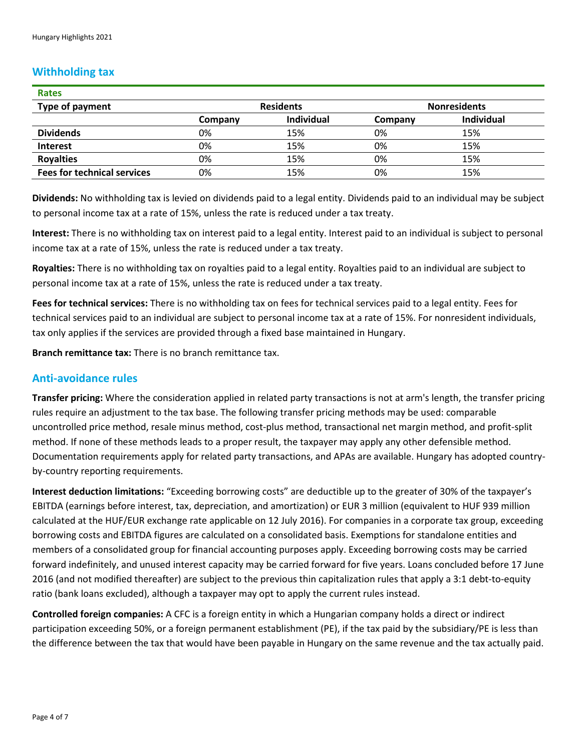#### **Withholding tax**

| Rates                              |                  |                   |                     |                   |
|------------------------------------|------------------|-------------------|---------------------|-------------------|
| Type of payment                    | <b>Residents</b> |                   | <b>Nonresidents</b> |                   |
|                                    | Company          | <b>Individual</b> | Company             | <b>Individual</b> |
| <b>Dividends</b>                   | 0%               | 15%               | 0%                  | 15%               |
| <b>Interest</b>                    | 0%               | 15%               | 0%                  | 15%               |
| <b>Royalties</b>                   | 0%               | 15%               | 0%                  | 15%               |
| <b>Fees for technical services</b> | 0%               | 15%               | 0%                  | 15%               |

**Dividends:** No withholding tax is levied on dividends paid to a legal entity. Dividends paid to an individual may be subject to personal income tax at a rate of 15%, unless the rate is reduced under a tax treaty.

**Interest:** There is no withholding tax on interest paid to a legal entity. Interest paid to an individual is subject to personal income tax at a rate of 15%, unless the rate is reduced under a tax treaty.

**Royalties:** There is no withholding tax on royalties paid to a legal entity. Royalties paid to an individual are subject to personal income tax at a rate of 15%, unless the rate is reduced under a tax treaty.

**Fees for technical services:** There is no withholding tax on fees for technical services paid to a legal entity. Fees for technical services paid to an individual are subject to personal income tax at a rate of 15%. For nonresident individuals, tax only applies if the services are provided through a fixed base maintained in Hungary.

**Branch remittance tax:** There is no branch remittance tax.

#### **Anti-avoidance rules**

**Transfer pricing:** Where the consideration applied in related party transactions is not at arm's length, the transfer pricing rules require an adjustment to the tax base. The following transfer pricing methods may be used: comparable uncontrolled price method, resale minus method, cost-plus method, transactional net margin method, and profit-split method. If none of these methods leads to a proper result, the taxpayer may apply any other defensible method. Documentation requirements apply for related party transactions, and APAs are available. Hungary has adopted countryby-country reporting requirements.

**Interest deduction limitations:** "Exceeding borrowing costs" are deductible up to the greater of 30% of the taxpayer's EBITDA (earnings before interest, tax, depreciation, and amortization) or EUR 3 million (equivalent to HUF 939 million calculated at the HUF/EUR exchange rate applicable on 12 July 2016). For companies in a corporate tax group, exceeding borrowing costs and EBITDA figures are calculated on a consolidated basis. Exemptions for standalone entities and members of a consolidated group for financial accounting purposes apply. Exceeding borrowing costs may be carried forward indefinitely, and unused interest capacity may be carried forward for five years. Loans concluded before 17 June 2016 (and not modified thereafter) are subject to the previous thin capitalization rules that apply a 3:1 debt-to-equity ratio (bank loans excluded), although a taxpayer may opt to apply the current rules instead.

**Controlled foreign companies:** A CFC is a foreign entity in which a Hungarian company holds a direct or indirect participation exceeding 50%, or a foreign permanent establishment (PE), if the tax paid by the subsidiary/PE is less than the difference between the tax that would have been payable in Hungary on the same revenue and the tax actually paid.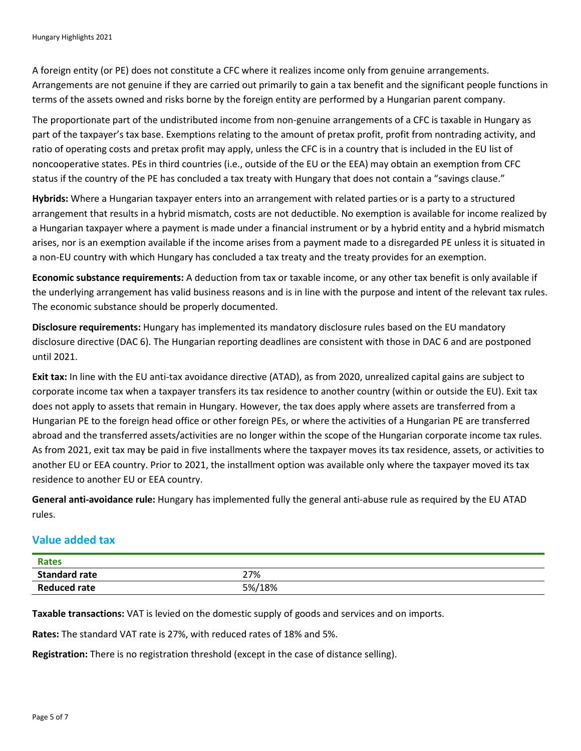A foreign entity (or PE) does not constitute a CFC where it realizes income only from genuine arrangements. Arrangements are not genuine if they are carried out primarily to gain a tax benefit and the significant people functions in terms of the assets owned and risks borne by the foreign entity are performed by a Hungarian parent company.

The proportionate part of the undistributed income from non-genuine arrangements of a CFC is taxable in Hungary as part of the taxpayer's tax base. Exemptions relating to the amount of pretax profit, profit from nontrading activity, and ratio of operating costs and pretax profit may apply, unless the CFC is in a country that is included in the EU list of noncooperative states. PEs in third countries (i.e., outside of the EU or the EEA) may obtain an exemption from CFC status if the country of the PE has concluded a tax treaty with Hungary that does not contain a "savings clause."

**Hybrids:** Where a Hungarian taxpayer enters into an arrangement with related parties or is a party to a structured arrangement that results in a hybrid mismatch, costs are not deductible. No exemption is available for income realized by a Hungarian taxpayer where a payment is made under a financial instrument or by a hybrid entity and a hybrid mismatch arises, nor is an exemption available if the income arises from a payment made to a disregarded PE unless it is situated in a non-EU country with which Hungary has concluded a tax treaty and the treaty provides for an exemption.

**Economic substance requirements:** A deduction from tax or taxable income, or any other tax benefit is only available if the underlying arrangement has valid business reasons and is in line with the purpose and intent of the relevant tax rules. The economic substance should be properly documented.

**Disclosure requirements:** Hungary has implemented its mandatory disclosure rules based on the EU mandatory disclosure directive (DAC 6). The Hungarian reporting deadlines are consistent with those in DAC 6 and are postponed until 2021.

**Exit tax:** In line with the EU anti-tax avoidance directive (ATAD), as from 2020, unrealized capital gains are subject to corporate income tax when a taxpayer transfers its tax residence to another country (within or outside the EU). Exit tax does not apply to assets that remain in Hungary. However, the tax does apply where assets are transferred from a Hungarian PE to the foreign head office or other foreign PEs, or where the activities of a Hungarian PE are transferred abroad and the transferred assets/activities are no longer within the scope of the Hungarian corporate income tax rules. As from 2021, exit tax may be paid in five installments where the taxpayer moves its tax residence, assets, or activities to another EU or EEA country. Prior to 2021, the installment option was available only where the taxpayer moved its tax residence to another EU or EEA country.

**General anti-avoidance rule:** Hungary has implemented fully the general anti-abuse rule as required by the EU ATAD rules.

# **Value added tax**

| <b>Rates</b>         |        |
|----------------------|--------|
| <b>Standard rate</b> | 27%    |
| <b>Reduced rate</b>  | 5%/18% |

**Taxable transactions:** VAT is levied on the domestic supply of goods and services and on imports.

**Rates:** The standard VAT rate is 27%, with reduced rates of 18% and 5%.

**Registration:** There is no registration threshold (except in the case of distance selling).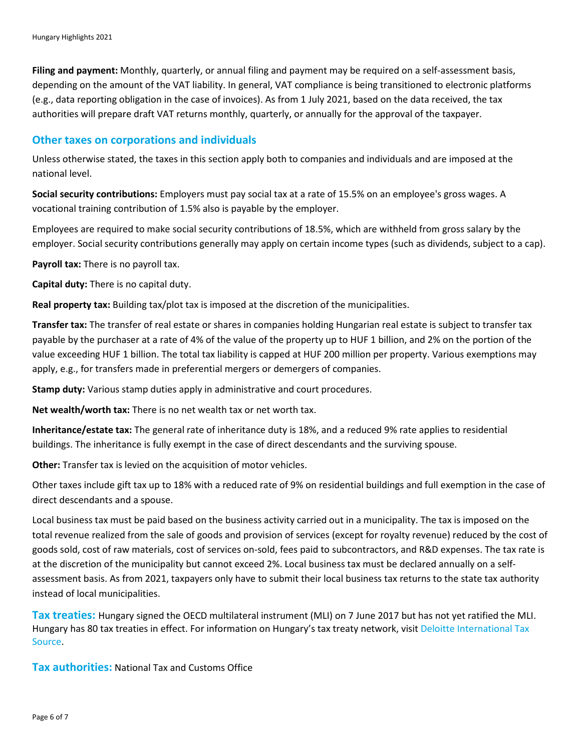**Filing and payment:** Monthly, quarterly, or annual filing and payment may be required on a self-assessment basis, depending on the amount of the VAT liability. In general, VAT compliance is being transitioned to electronic platforms (e.g., data reporting obligation in the case of invoices). As from 1 July 2021, based on the data received, the tax authorities will prepare draft VAT returns monthly, quarterly, or annually for the approval of the taxpayer.

#### **Other taxes on corporations and individuals**

Unless otherwise stated, the taxes in this section apply both to companies and individuals and are imposed at the national level.

**Social security contributions:** Employers must pay social tax at a rate of 15.5% on an employee's gross wages. A vocational training contribution of 1.5% also is payable by the employer.

Employees are required to make social security contributions of 18.5%, which are withheld from gross salary by the employer. Social security contributions generally may apply on certain income types (such as dividends, subject to a cap).

**Payroll tax:** There is no payroll tax.

**Capital duty:** There is no capital duty.

**Real property tax:** Building tax/plot tax is imposed at the discretion of the municipalities.

**Transfer tax:** The transfer of real estate or shares in companies holding Hungarian real estate is subject to transfer tax payable by the purchaser at a rate of 4% of the value of the property up to HUF 1 billion, and 2% on the portion of the value exceeding HUF 1 billion. The total tax liability is capped at HUF 200 million per property. Various exemptions may apply, e.g., for transfers made in preferential mergers or demergers of companies.

**Stamp duty:** Various stamp duties apply in administrative and court procedures.

**Net wealth/worth tax:** There is no net wealth tax or net worth tax.

**Inheritance/estate tax:** The general rate of inheritance duty is 18%, and a reduced 9% rate applies to residential buildings. The inheritance is fully exempt in the case of direct descendants and the surviving spouse.

**Other:** Transfer tax is levied on the acquisition of motor vehicles.

Other taxes include gift tax up to 18% with a reduced rate of 9% on residential buildings and full exemption in the case of direct descendants and a spouse.

Local business tax must be paid based on the business activity carried out in a municipality. The tax is imposed on the total revenue realized from the sale of goods and provision of services (except for royalty revenue) reduced by the cost of goods sold, cost of raw materials, cost of services on-sold, fees paid to subcontractors, and R&D expenses. The tax rate is at the discretion of the municipality but cannot exceed 2%. Local business tax must be declared annually on a selfassessment basis. As from 2021, taxpayers only have to submit their local business tax returns to the state tax authority instead of local municipalities.

**Tax treaties:** Hungary signed the OECD multilateral instrument (MLI) on 7 June 2017 but has not yet ratified the MLI. Hungary has 80 tax treaties in effect. For information on Hungary's tax treaty network, visit [Deloitte International Tax](https://www.dits.deloitte.com/#Jurisdiction/8)  [Source.](https://www.dits.deloitte.com/#Jurisdiction/8)

**Tax authorities:** National Tax and Customs Office